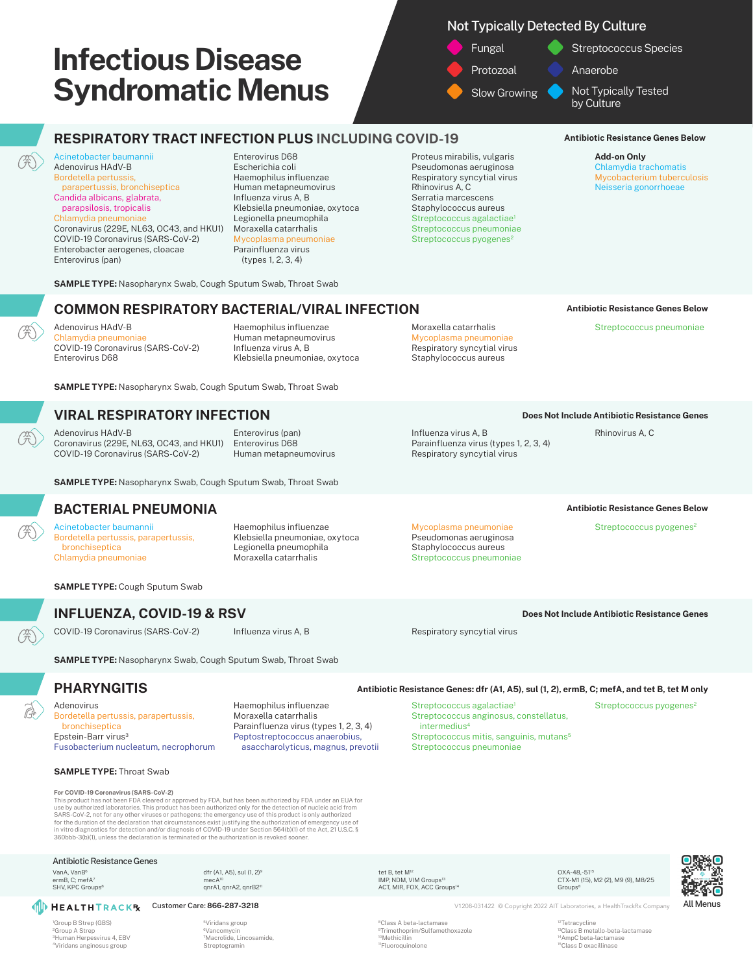# Not Typically Detected By Culture

Fungal **Protozoal** Slow Growing Streptococcus Species Anaerobe Not Typically Tested by Culture

# **RESPIRATORY TRACT INFECTION PLUS INCLUDING COVID-19**

Acinetobacter baumannii Adenovirus HAdV-B Bordetella pertussis, parapertussis, bronchiseptica Candida albicans, glabrata, parapsilosis, tropicalis Chlamydia pneumonia Coronavirus (229E, NL63, OC43, and HKU1) COVID-19 Coronavirus (SARS-CoV-2)

Enterobacter aerogenes, cloacae

Enterovirus (pan)

Enterovirus D68 Escherichia coli Haemophilus influenzae Human metapneumovirus Influenza virus A, B Klebsiella pneumoniae, oxytoca Legionella pneumophila Moraxella catarrhalis lasma pneumoniae Parainfluenza virus (types 1, 2, 3, 4)

Proteus mirabilis, vulgaris Pseudomonas aeruginosa Respiratory syncytial virus Rhinovirus A, C Serratia marcescens Staphylococcus aureus Streptococcus agalactiae<sup>1</sup> Streptococcus pneumoniae Streptococcus pyogenes<sup>2</sup>

### **Antibiotic Resistance Genes Below**

**Antibiotic Resistance Genes Below** Streptococcus pneumoniae

**Add-on Only** Chlamydia trachomatis Mycobacterium tuberculosis Neisseria gonorrhoeae

#### **SAMPLE TYPE:** Nasopharynx Swab, Cough Sputum Swab, Throat Swab

# **COMMON RESPIRATORY BACTERIAL/VIRAL INFECTION**

Adenovirus HAdV-B **Ilamydia pneumoniae** COVID-19 Coronavirus (SARS-CoV-2) Enterovirus D68

Haemophilus influenzae Human metapneumovirus Influenza virus A, B Klebsiella pneumoniae, oxytoca

**SAMPLE TYPE:** Nasopharynx Swab, Cough Sputum Swab, Throat Swab

### **VIRAL RESPIRATORY INFECTION**

Adenovirus HAdV-B Coronavirus (229E, NL63, OC43, and HKU1) COVID-19 Coronavirus (SARS-CoV-2)

Enterovirus (pan) Enterovirus D68 Human metapneumovirus

**SAMPLE TYPE:** Nasopharynx Swab, Cough Sputum Swab, Throat Swab

### **BACTERIAL PNEUMONIA**

Acinetobacter baumannii Bordetella pertussis, parapertussis, bronchiseptica Chlamydia pneumoniae

Haemophilus influenzae Klebsiella pneumoniae, oxytoca Legionella pneumophila Moraxella catarrhalis

Mycoplasma pneumoniae Pseudomonas aeruginosa Staphylococcus aureus Streptococcus pneumoniae

Influenza virus A, B

Moraxella catarrhalis Mycoplasma pneumoniae Respiratory syncytial virus Staphylococcus aureus

Parainfluenza virus (types 1, 2, 3, 4)

**Antibiotic Resistance Genes Below**

**Does Not Include Antibiotic Resistance Genes** Rhinovirus A, C

Streptococcus pyogenes<sup>2</sup>

**SAMPLE TYPE:** Cough Sputum Swab

**INFLUENZA, COVID-19 & RSV**

COVID-19 Coronavirus (SARS-CoV-2) Influenza virus A, B Respiratory syncytial virus A, B

**Does Not Include Antibiotic Resistance Genes**

### **SAMPLE TYPE:** Nasopharynx Swab, Cough Sputum Swab, Throat Swab

# **PHARYNGITIS**

Adenovirus Bordetella pertussis, parapertussis, bronchiseptica Epstein-Barr virus<sup>3</sup> Fusobacterium nucleatum, necrophorum

**For COVID-19 Coronavirus (SARS-CoV-2)**

**SAMPLE TYPE:** Throat Swab

Haemophilus influenzae Moraxella catarrhalis Parainfluenza virus (types 1, 2, 3, 4) Peptostreptococcus anaerobius, asaccharolyticus, magnus, prevotii

#### **Antibiotic Resistance Genes: dfr (A1, A5), sul (1, 2), ermB, C; mefA, and tet B, tet M only**

Streptococcus agalactiae<sup>1</sup> Streptococcus anginosus, constellatus, intermedius<sup>4</sup> Streptococcus mitis, sanguinis, mutans<sup>5</sup> Streptococcus pneumoniae

Streptococcus pyogenes<sup>2</sup>

OXA-48,-5115 CTX-M1 (15), M2 (2), M9 (9), M8/25 **Groups<sup>8</sup>** 

**Customer Care: 866-287-3218** V1208-031422 © Copyright 2022 AIT Laboratories, a HealthTrackRx Company All Menus

8Class A beta-lactamase 9Trimethoprim/Sulfamethoxazole <sup>0</sup>Methicillin 11Fluoroquinolone

<sup>12</sup>Tetracycline<br><sup>13</sup>Class B metallo-beta-lactamase 14AmpC beta-lactamase 15Class D oxacillinase

ACT, MIR, FOX, ACC Groups<sup>1</sup>

tet B, tet M<sup>12</sup><br>IMP, NDM, VIM Groups<sup>13</sup>

1 Group B Strep (GBS) Group A Strep 3Human Herpesvirus 4, EBV 4Viridans anginosus group

Antibiotic Resistance Genes

VanA, VanB6 ermB, C; mefA<sup>7</sup> SHV, KPC Groups<sup>8</sup>

5Viridans group 6Vancomycin 7Macrolide, Lincosamide,

Streptogramin

dfr (A1, A5), sul (1, 2)9 mecA<sup>10</sup><br>qnrA1, qnrA2, qnrB2''

This product has not been FDA cleared or approved by FDA, but has been authorized by FDA under an EUA for<br>use by authorized laboratories. This product has been authorized only for the detection of nucleic acid from<br>SARS-Co for the duration of the declaration that circumstances exist justifying the authorization of emergency use of<br>in vitro diagnostics for detection and/or diagnosis of COVID-19 under Section 564(b)(1) of the Act, 21 U.S.C.§<br>3

Respiratory syncytial virus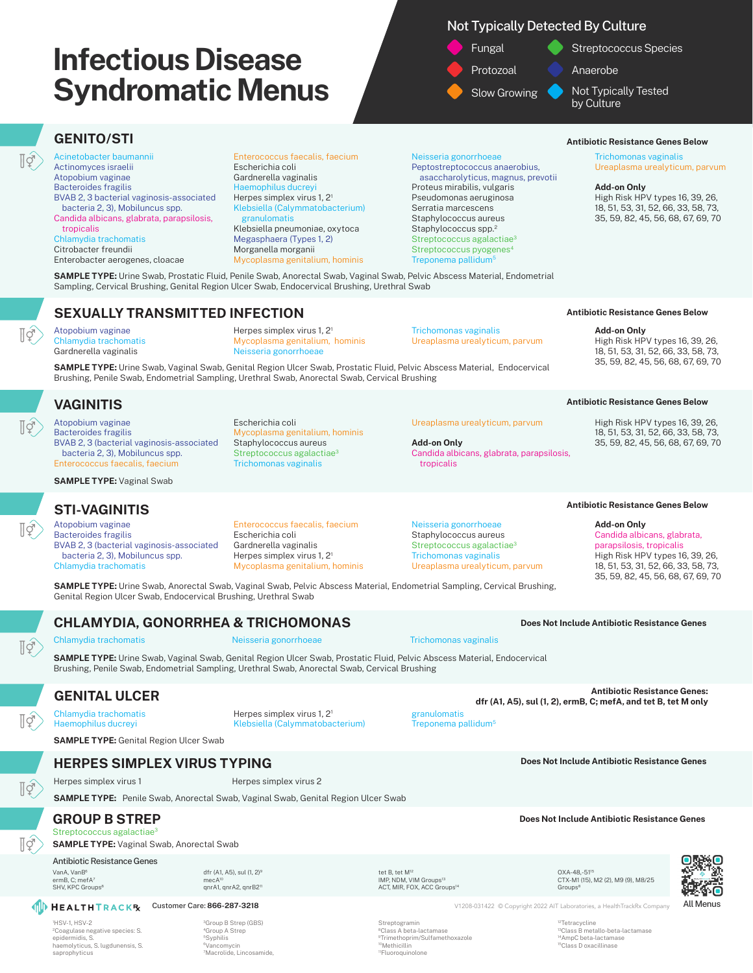# Not Typically Detected By Culture



# **GENITO/STI**

 $\overline{\mathbb{F}}$ 

ĪÝ

ĪÝ

Acinetobacter baumannii Actinomyces israelii Atopobium vaginae Bacteroides fragilis BVAB 2, 3 bacterial vaginosis-associated bacteria 2, 3), Mobiluncus spp. Candida albicans, glabrata, parapsilosis, tropicalis Chlamydia trachomatis Citrobacter freundii Enterobacter aerogenes, cloacae

Enterococcus faecalis, faecium Escherichia coli Gardnerella vaginalis Haemophilus ducreyi Herpes simplex virus 1, 21 Klebsiella (Calymmatobacterium) granulomatis Klebsiella pneumoniae, oxytoca Megasphaera (Types 1, 2) Morganella morganii Mycoplasma genitalium, hominis

#### Neisseria gonorrhoeae Peptostreptococcus anaerobius, asaccharolyticus, magnus, prevotii Proteus mirabilis, vulgaris Pseudomonas aeruginosa Serratia marcescens Staphylococcus aureus Staphylococcus spp.<sup>2</sup> Streptococcus agalactiae<sup>3</sup> Streptococcus pyogenes<sup>4</sup> Treponema pallidum5

#### **Antibiotic Resistance Genes Below**

**Antibiotic Resistance Genes Below**

**Antibiotic Resistance Genes Below**

High Risk HPV types 16, 39, 26, 18, 51, 53, 31, 52, 66, 33, 58, 73, 35, 59, 82, 45, 56, 68, 67, 69, 70

High Risk HPV types 16, 39, 26, 18, 51, 53, 31, 52, 66, 33, 58, 73, 35, 59, 82, 45, 56, 68, 67, 69, 70

**Add-on Only**

Trichomonas vaginalis Ureaplasma urealyticum, parvum

#### **Add-on Only**

High Risk HPV types 16, 39, 26, 18, 51, 53, 31, 52, 66, 33, 58, 73, 35, 59, 82, 45, 56, 68, 67, 69, 70

**SAMPLE TYPE:** Urine Swab, Prostatic Fluid, Penile Swab, Anorectal Swab, Vaginal Swab, Pelvic Abscess Material, Endometrial Sampling, Cervical Brushing, Genital Region Ulcer Swab, Endocervical Brushing, Urethral Swab

## **SEXUALLY TRANSMITTED INFECTION**

Atopobium vaginae Chlamydia trachomatis Gardnerella vaginalis

Herpes simplex virus 1, 21 Mycoplasma genitalium, hominis Neisseria gonorrhoeae

Trichomonas vaginalis Ureaplasma urealyticum, parvum

Ureaplasma urealyticum, parvum

Candida albicans, glabrata, parapsilosis,

**Add-on Only**

tropicalis

**SAMPLE TYPE:** Urine Swab, Vaginal Swab, Genital Region Ulcer Swab, Prostatic Fluid, Pelvic Abscess Material, Endocervical Brushing, Penile Swab, Endometrial Sampling, Urethral Swab, Anorectal Swab, Cervical Brushing

# **VAGINITIS**

Atopobium vaginae Bacteroides fragilis BVAB 2, 3 (bacterial vaginosis-associated bacteria 2, 3), Mobiluncus spp. Enterococcus faecalis, faecium

**SAMPLE TYPE:** Vaginal Swab

# **STI-VAGINITIS**

Atopobium vaginae Bacteroides fragilis BVAB 2, 3 (bacterial vaginosis-associated bacteria 2, 3), Mobiluncus spp. Chlamydia trachomatis

Trichomonas vaginalis

Mycoplasma genitalium, hominis Staphylococcus aureus Streptococcus agalactiae<sup>3</sup>

Enterococcus faecalis, faecium

Escherichia coli Gardnerella vaginalis Herpes simplex virus 1, 21 Mycoplasma genitalium, hominis

Escherichia coli

Neisseria gonorrhoeae Staphylococcus aureus Streptococcus agalactiae<sup>3</sup>

Trichomonas vaginalis Ureaplasma urealyticum, parvum

**SAMPLE TYPE:** Urine Swab, Anorectal Swab, Vaginal Swab, Pelvic Abscess Material, Endometrial Sampling, Cervical Brushing, Genital Region Ulcer Swab, Endocervical Brushing, Urethral Swab

## **CHLAMYDIA, GONORRHEA & TRICHOMONAS**

Īġ

Īġ

ĪΫ́

ĪÝ

Chlamydia trachomatis Neisseria gonorrhoeae Trichomonas vaginalis

**SAMPLE TYPE:** Urine Swab, Vaginal Swab, Genital Region Ulcer Swab, Prostatic Fluid, Pelvic Abscess Material, Endocervical Brushing, Penile Swab, Endometrial Sampling, Urethral Swab, Anorectal Swab, Cervical Brushing

Chlamydia trachomatis Haemophilus ducreyi

**SAMPLE TYPE:** Genital Region Ulcer Swab

# **HERPES SIMPLEX VIRUS TYPING**

Herpes simplex virus 1 Herpes simplex virus 2

**SAMPLE TYPE:** Penile Swab, Anorectal Swab, Vaginal Swab, Genital Region Ulcer Swab

dfr (A1, A5), sul (1, 2)9 mecA<sup>10</sup><br>qnrA1, qnrA2, qnrB2''

### Streptococcus agalactiae<sup>3</sup> **GROUP B STREP**

**SAMPLE TYPE:** Vaginal Swab, Anorectal Swab

#### Antibiotic Resistance Genes

VanA, VanB6 ermB, C; mefA<sup>7</sup> SHV, KPC Groups<sup>8</sup>

1 HSV-1, HSV-2 2Coagulase negative species: S. epidermidis, S. haemolyticus, S. lugdunensis, S. saprophyticus

3Group B Strep (GBS) 4Group A Strep 5Syphilis 6Vancomycin 7Macrolide, Lincosamide, tet B, tet M<sup>12</sup><br>IMP, NDM, VIM Groups<sup>13</sup> ACT, MIR, FOX, ACC Groups<sup>1</sup>

Streptogramin 8Class A beta-lactamase 9Trimethoprim/Sulfamethoxazole

10Methicillin 11Fluoroquinolone

OXA-48,-5115 CTX-M1 (15), M2 (2), M9 (9), M8/25 **Groups<sup>8</sup>** 

**Customer Care: 866-287-3218** V1208-031422 © Copyright 2022 AIT Laboratories, a HealthTrackRx Company All Menus

<sup>12</sup>Tetracycline<br><sup>13</sup>Class B metallo-beta-lactamase 14AmpC beta-lactamase 15Class D oxacillinase

Treponema pallidum<sup>5</sup>



35, 59, 82, 45, 56, 68, 67, 69, 70

**Add-on Only**

**Antibiotic Resistance Genes Below**

Candida albicans, glabrata, parapsilosis, tropicalis High Risk HPV types 16, 39, 26, 18, 51, 53, 31, 52, 66, 33, 58, 73,

**Does Not Include Antibiotic Resistance Genes**

**GENITAL ULCER Antibiotic Resistance Genes: dfr (A1, A5), sul (1, 2), ermB, C; mefA, and tet B, tet M only**

**Does Not Include Antibiotic Resistance Genes**

**Does Not Include Antibiotic Resistance Genes**

Herpes simplex virus 1, 21 Klebsiella (Calymmatobacterium)

granulomatis



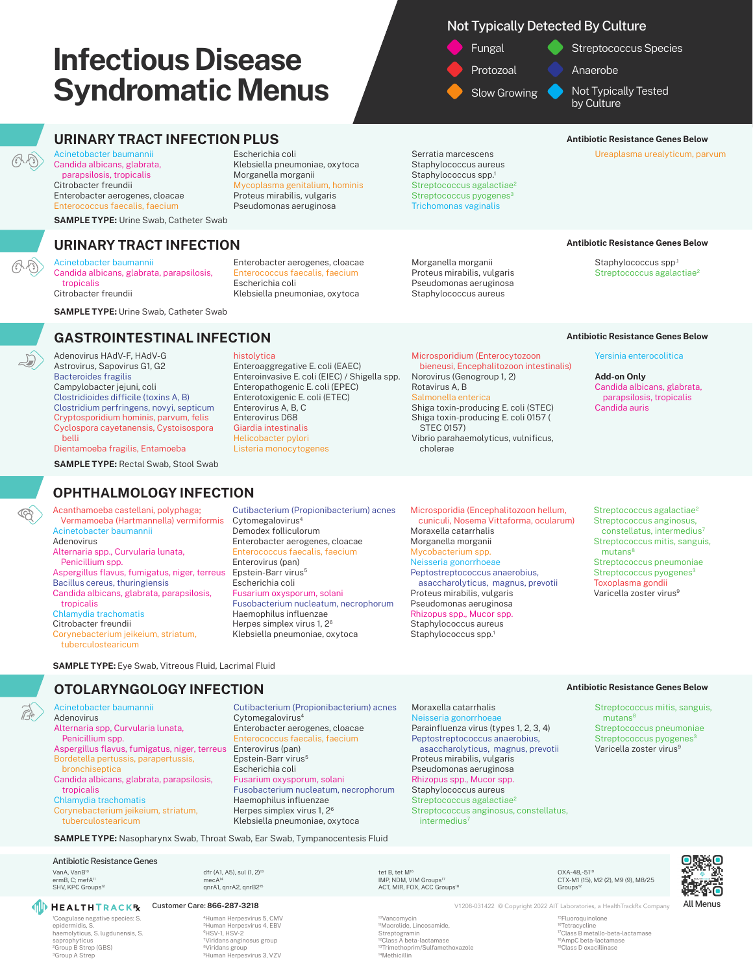Escherichia coli

Escherichia coli

histolytica

Klebsiella pneumoniae, oxytoca Morganella morganii

Mycoplasma genitalium, hominis Proteus mirabilis, vulgaris Pseudomonas aeruginosa

Enterobacter aerogenes, cloacae Enterococcus faecalis, faecium

Klebsiella pneumoniae, oxytoca

Enteroaggregative E. coli (EAEC) Enteroinvasive E. coli (EIEC) / Shigella spp. Enteropathogenic E. coli (EPEC) Enterotoxigenic E. coli (ETEC) Enterovirus A, B, C Enterovirus D68 Giardia intestinalis Helicobacter pylori Listeria monocytogenes

# Not Typically Detected By Culture

Fungal Protozoal Slow Growing

Streptococcus Species

Anaerobe

Not Typically Tested by Culture

#### **URINARY TRACT INFECTION PLUS Antibiotic Resistance Genes Below Antibiotic Resistance Genes Below**

Ureaplasma urealyticum, parvum

Serratia marcescens Staphylococcus aureus Staphylococcus spp.<sup>1</sup> Streptococcus agalactiae<sup>2</sup> Streptococcus pyogenes<sup>3</sup> Trichomonas vaginalis

#### Morganella morganii Proteus mirabilis, vulgaris Pseudomonas aeruginosa Staphylococcus aureus

Microsporidium (Enterocytozoon bieneusi, Encephalitozoon intestinalis)

Shiga toxin-producing E. coli (STEC) Shiga toxin-producing E. coli 0157 (

Vibrio parahaemolyticus, vulnificus,

Norovirus (Genogroup 1, 2)

Rotavirus A, B Salmonella enterica

STEC 0157)

cholerae

#### **Antibiotic Resistance Genes Below**

Staphylococcus spp.1 Streptococcus agalactiae<sup>2</sup>

**SAMPLE TYPE:** Urine Swab, Catheter Swab

Candida albicans, glabrata, parapsilosis,

**SAMPLE TYPE:** Urine Swab, Catheter Swab

**URINARY TRACT INFECTION**

Acinetobacter baumannii Candida albicans, glabrata, parapsilosis, tropicalis Citrobacter freundii

Acinetobacter baumannii

 tropicalis Citrobacter freundii

 $\circledcirc$ 

Enterobacter aerogenes, cloacae Enterococcus faecalis, faecium

# **GASTROINTESTINAL INFECTION**

Adenovirus HAdV-F, HAdV-G Astrovirus, Sapovirus G1, G2 Bacteroides fragilis Campylobacter jejuni, coli Clostridioides difficile (toxins A, B) Clostridium perfringens, novyi, septicum Cryptosporidium hominis, parvum, felis Cyclospora cayetanensis, Cystoisospora belli Dientamoeba fragilis, Entamoeba

**SAMPLE TYPE:** Rectal Swab, Stool Swab

# **OPHTHALMOLOGY INFECTION**

Acanthamoeba castellani, polyphaga; Vermamoeba (Hartmannella) vermiformis Acinetobacter baumannii Adenovirus Alternaria spp., Curvularia lunata, Penicillium spp. Aspergillus flavus, fumigatus, niger, terreus Bacillus cereus, thuringiensis Candida albicans, glabrata, parapsilosis, tropicalis Chlamydia trachomatis Citrobacter freundii Corynebacterium jeikeium, striatum, tuberculostearicum

Cutibacterium (Propionibacterium) acnes Cytomegalovirus4 Demodex folliculorum Enterobacter aerogenes, cloacae Enterococcus faecalis, faecium Enterovirus (pan) Epstein-Barr virus<sup>5</sup> Escherichia coli Fusarium oxysporum, solani Fusobacterium nucleatum, necrophorum Haemophilus influenzae Herpes simplex virus 1, 26 Klebsiella pneumoniae, oxytoca

Cutibacterium (Propionibacterium) acnes

Cytomegalovirus4

Microsporidia (Encephalitozoon hellum, cuniculi, Nosema Vittaforma, ocularum) Moraxella catarrhalis Morganella morganii Mycobacterium spp. Neisseria gonorrhoeae Peptostreptococcus anaerobius, asaccharolyticus, magnus, prevotii Proteus mirabilis, vulgaris Pseudomonas aeruginosa Rhizopus spp., Mucor spp. Staphylococcus aureus Staphylococcus spp.<sup>1</sup>

#### **Antibiotic Resistance Genes Below**

#### Yersinia enterocolitica

**Add-on Only** Candida albicans, glabrata, parapsilosis, tropicalis Candida auris

Streptococcus agalactiae<sup>2</sup> Streptococcus anginosus, constellatus, intermedius<sup>7</sup> Streptococcus mitis, sanguis, mutans<sup>8</sup> Streptococcus pneumoniae Streptococcus pyogenes<sup>3</sup> Toxoplasma gondii Varicella zoster virus<sup>9</sup>

**SAMPLE TYPE:** Eve Swab, Vitreous Fluid, Lacrimal Fluid

## **OTOLARYNGOLOGY INFECTION**

Acinetobacter baumannii Adenovirus Alternaria spp, Curvularia lunata, Penicillium spp. Aspergillus flavus, fumigatus, niger, terreus Bordetella pertussis, parapertussis, bronchiseptica Candida albicans, glabrata, parapsilosis, tropicalis Chlamydia trachomatis

Corynebacterium jeikeium, striatum, tuberculostearicum

**SAMPLE TYPE:** Nasopharynx Swab, Throat Swab, Ear Swab, Tympanocentesis Fluid

dfr (A1, A5), sul (1, 2)13 mecA14<br>qnrA1, qnrA2, qnrB215

#### Antibiotic Resistance Genes

VanA, VanB10 ermB, C; mefA<sup>1</sup> SHV, KPC Groups<sup>12</sup>

1 Coagulase negative species: S. epidermidis, S. haemolyticus, S. lugdunensis, S. saprophyticus 2Group B Strep (GBS) 3Group A Strep

**ID HEALTHTRACKR** 

4Human Herpesvirus 5, CMV 5Human Herpesvirus 4, EBV 6HSV-1, HSV-2 7Viridans anginosus group 8Viridans group 9Human Herpesvirus 3, VZV

Enterobacter aerogenes, cloacae is, faecium Enterovirus (pan) Epstein-Barr virus<sup>5</sup> Escherichia coli Fusarium oxysporum, solani Fusobacterium nucleatum, necrophorum Haemophilus influenzae Herpes simplex virus 1, 26 Klebsiella pneumoniae, oxytoca

> 10Vancomycin 11Macrolide, Lincosamide, Streptogramin 12Class A beta-lactamase 13Trimethoprim/Sulfamethoxazole

tet B, tet M<sup>16</sup><br>IMP, NDM, VIM Groups<sup>17</sup> ACT, MIR, FOX, ACC Groups<sup>11</sup>

14Methicillin

Moraxella catarrhalis Neisseria gonorrhoea Parainfluenza virus (types 1, 2, 3, 4) Peptostreptococcus anaerobius, asaccharolyticus, magnus, prevotii Proteus mirabilis, vulgaris Pseudomonas aeruginosa Rhizopus spp., Mucor spp. Staphylococcus aureus Streptococcus agalactiae<sup>2</sup> Streptococcus anginosus, constellatus, intermedius<sup>7</sup>

#### **Antibiotic Resistance Genes Below**

Streptococcus mitis, sanguis,  $mutans<sup>8</sup>$ Streptococcus pneumoniae Streptococcus pyogenes<sup>3</sup> Varicella zoster virus<sup>9</sup>

OXA-48,-5119 CTX-M1 (15), M2 (2), M9 (9), M8/25 Groups<sup>1</sup>

Customer Care: 866-287-3218 **V1208-031422** © Copyright 2022 AIT Laboratories, a HealthTrackRx Company All Menus

16Tetracycline 18AmpC beta-lactamase 19Class D oxacillinase

15Fluoroquinolone 17Class B metallo-beta-lactamase